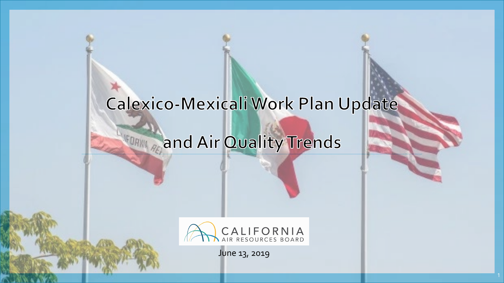## Calexico-Mexicali Work Plan Update

# and Air Quality Trends



June 13, 2019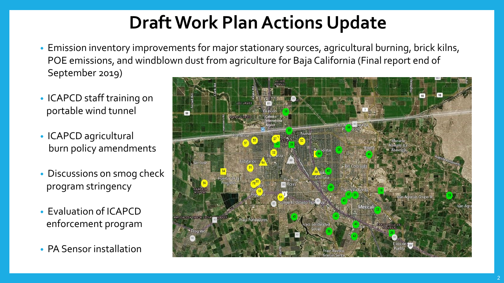## **Draft Work Plan Actions Update**

- Emission inventory improvements for major stationary sources, agricultural burning, brick kilns, POE emissions, and windblown dust from agriculture for Baja California (Final report end of September 2019)
- ICAPCD staff training on portable wind tunnel
- ICAPCD agricultural burn policy amendments
- Discussions on smog check program stringency
- Evaluation of ICAPCD enforcement program
- PA Sensor installation

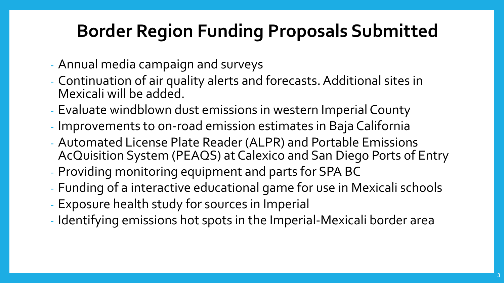## **Border Region Funding Proposals Submitted**

- Annual media campaign and surveys
- Continuation of air quality alerts and forecasts. Additional sites in Mexicali will be added.
- Evaluate windblown dust emissions in western Imperial County
- Improvements to on-road emission estimates in Baja California
- Automated License Plate Reader (ALPR) and Portable Emissions AcQuisition System (PEAQS) at Calexico and San Diego Ports of Entry
- Providing monitoring equipment and parts for SPA BC
- Funding of a interactive educational game for use in Mexicali schools
- Exposure health study for sources in Imperial
- Identifying emissions hot spots in the Imperial-Mexicali border area

3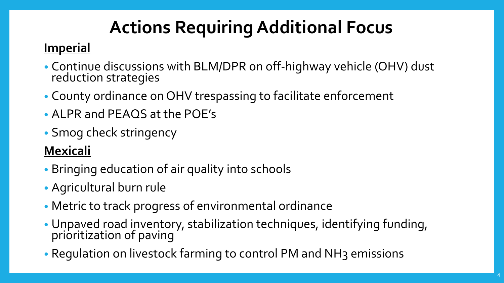# **Actions Requiring Additional Focus**

#### **Imperial**

- Continue discussions with BLM/DPR on off-highway vehicle (OHV) dust reduction strategies
- County ordinance on OHV trespassing to facilitate enforcement
- ALPR and PEAQS at the POE's
- Smog check stringency

#### **Mexicali**

- Bringing education of air quality into schools
- Agricultural burn rule
- Metric to track progress of environmental ordinance
- Unpaved road inventory, stabilization techniques, identifying funding, prioritization of paving
- Regulation on livestock farming to control PM and NH3 emissions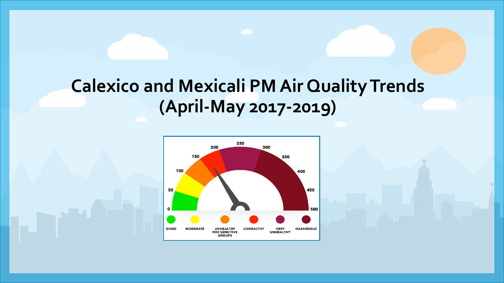### **Calexico and Mexicali PM Air Quality Trends (April-May 2017-2019)**

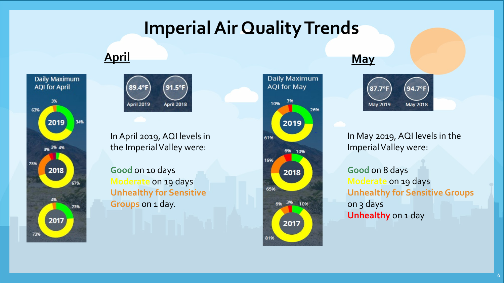### **Imperial Air Quality Trends**

#### **April May**





In April 2019, AQI levels in the Imperial Valley were:

**Good** on 10 days **Moderate** on 19 days **Unhealthy for Sensitive Groups** on 1 day.







In May 2019, AQI levels in the Imperial Valley were:

**Good** on 8 days **Moderate** on 19 days **Unhealthy for Sensitive Groups** on 3 days **Unhealthy** on 1 day